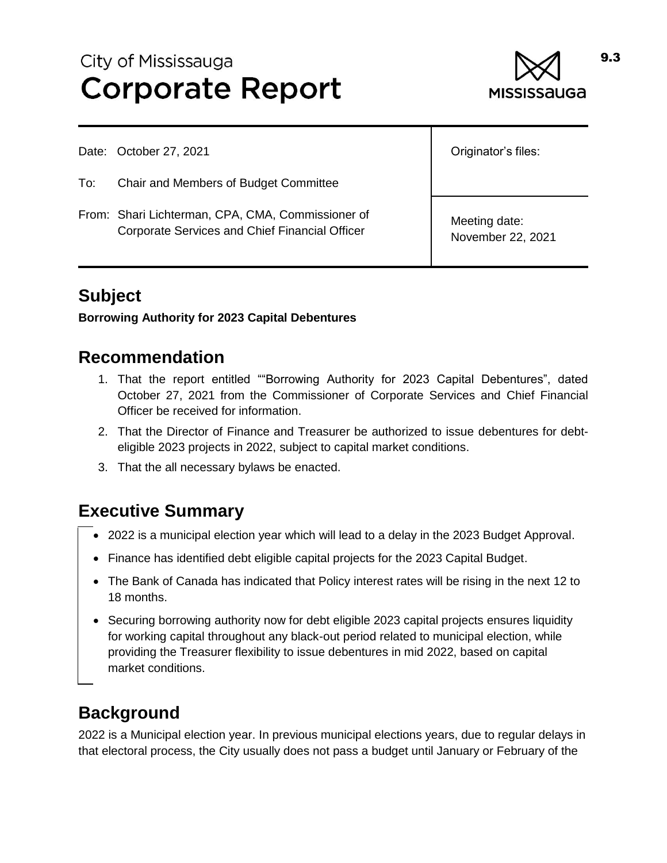# City of Mississauga **Corporate Report**



Date: October 27, 2021

- To: Chair and Members of Budget Committee
- From: Shari Lichterman, CPA, CMA, Commissioner of Corporate Services and Chief Financial Officer

Originator's files:

Meeting date: November 22, 2021

### **Subject**

#### **Borrowing Authority for 2023 Capital Debentures**

#### **Recommendation**

- 1. That the report entitled ""Borrowing Authority for 2023 Capital Debentures", dated October 27, 2021 from the Commissioner of Corporate Services and Chief Financial Officer be received for information.
- 2. That the Director of Finance and Treasurer be authorized to issue debentures for debteligible 2023 projects in 2022, subject to capital market conditions.
- 3. That the all necessary bylaws be enacted.

#### **Executive Summary**

- 2022 is a municipal election year which will lead to a delay in the 2023 Budget Approval.
- Finance has identified debt eligible capital projects for the 2023 Capital Budget.
- The Bank of Canada has indicated that Policy interest rates will be rising in the next 12 to 18 months.
- Securing borrowing authority now for debt eligible 2023 capital projects ensures liquidity for working capital throughout any black-out period related to municipal election, while providing the Treasurer flexibility to issue debentures in mid 2022, based on capital market conditions.

#### **Background**

2022 is a Municipal election year. In previous municipal elections years, due to regular delays in that electoral process, the City usually does not pass a budget until January or February of the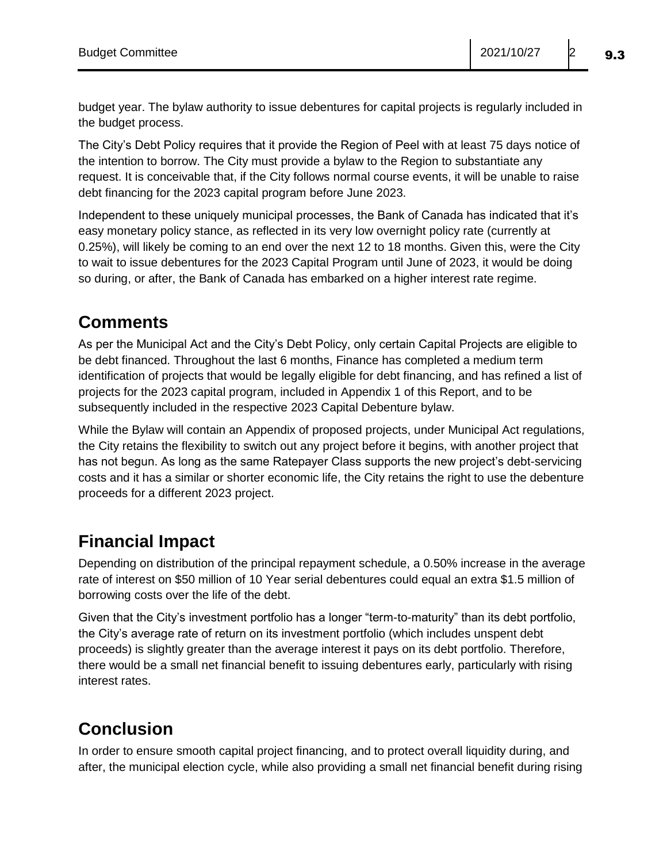budget year. The bylaw authority to issue debentures for capital projects is regularly included in the budget process.

The City's Debt Policy requires that it provide the Region of Peel with at least 75 days notice of the intention to borrow. The City must provide a bylaw to the Region to substantiate any request. It is conceivable that, if the City follows normal course events, it will be unable to raise debt financing for the 2023 capital program before June 2023.

Independent to these uniquely municipal processes, the Bank of Canada has indicated that it's easy monetary policy stance, as reflected in its very low overnight policy rate (currently at 0.25%), will likely be coming to an end over the next 12 to 18 months. Given this, were the City to wait to issue debentures for the 2023 Capital Program until June of 2023, it would be doing so during, or after, the Bank of Canada has embarked on a higher interest rate regime.

#### **Comments**

As per the Municipal Act and the City's Debt Policy, only certain Capital Projects are eligible to be debt financed. Throughout the last 6 months, Finance has completed a medium term identification of projects that would be legally eligible for debt financing, and has refined a list of projects for the 2023 capital program, included in Appendix 1 of this Report, and to be subsequently included in the respective 2023 Capital Debenture bylaw.

While the Bylaw will contain an Appendix of proposed projects, under Municipal Act regulations, the City retains the flexibility to switch out any project before it begins, with another project that has not begun. As long as the same Ratepayer Class supports the new project's debt-servicing costs and it has a similar or shorter economic life, the City retains the right to use the debenture proceeds for a different 2023 project.

#### **Financial Impact**

Depending on distribution of the principal repayment schedule, a 0.50% increase in the average rate of interest on \$50 million of 10 Year serial debentures could equal an extra \$1.5 million of borrowing costs over the life of the debt.

Given that the City's investment portfolio has a longer "term-to-maturity" than its debt portfolio, the City's average rate of return on its investment portfolio (which includes unspent debt proceeds) is slightly greater than the average interest it pays on its debt portfolio. Therefore, there would be a small net financial benefit to issuing debentures early, particularly with rising interest rates.

## **Conclusion**

In order to ensure smooth capital project financing, and to protect overall liquidity during, and after, the municipal election cycle, while also providing a small net financial benefit during rising